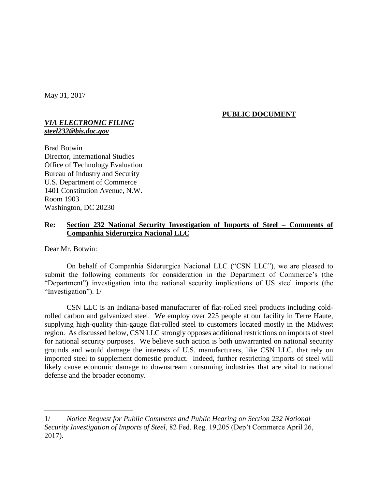May 31, 2017

## **PUBLIC DOCUMENT**

#### *VIA ELECTRONIC FILING steel232@bis.doc.gov*

Brad Botwin Director, International Studies Office of Technology Evaluation Bureau of Industry and Security U.S. Department of Commerce 1401 Constitution Avenue, N.W. Room 1903 Washington, DC 20230

## **Re: Section 232 National Security Investigation of Imports of Steel – Comments of Companhia Siderurgica Nacional LLC**

Dear Mr. Botwin:

 $\overline{a}$ 

On behalf of Companhia Siderurgica Nacional LLC ("CSN LLC"), we are pleased to submit the following comments for consideration in the Department of Commerce's (the "Department") investigation into the national security implications of US steel imports (the "Investigation"). 1/

CSN LLC is an Indiana-based manufacturer of flat-rolled steel products including coldrolled carbon and galvanized steel. We employ over 225 people at our facility in Terre Haute, supplying high-quality thin-gauge flat-rolled steel to customers located mostly in the Midwest region. As discussed below, CSN LLC strongly opposes additional restrictions on imports of steel for national security purposes. We believe such action is both unwarranted on national security grounds and would damage the interests of U.S. manufacturers, like CSN LLC, that rely on imported steel to supplement domestic product. Indeed, further restricting imports of steel will likely cause economic damage to downstream consuming industries that are vital to national defense and the broader economy.

<sup>1/</sup> *Notice Request for Public Comments and Public Hearing on Section 232 National Security Investigation of Imports of Steel*, 82 Fed. Reg. 19,205 (Dep't Commerce April 26, 2017).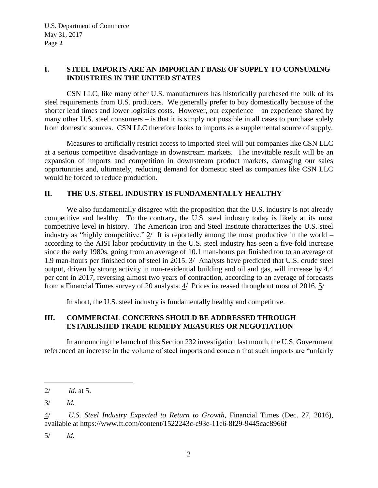# **I. STEEL IMPORTS ARE AN IMPORTANT BASE OF SUPPLY TO CONSUMING INDUSTRIES IN THE UNITED STATES**

CSN LLC, like many other U.S. manufacturers has historically purchased the bulk of its steel requirements from U.S. producers. We generally prefer to buy domestically because of the shorter lead times and lower logistics costs. However, our experience – an experience shared by many other U.S. steel consumers – is that it is simply not possible in all cases to purchase solely from domestic sources. CSN LLC therefore looks to imports as a supplemental source of supply.

Measures to artificially restrict access to imported steel will put companies like CSN LLC at a serious competitive disadvantage in downstream markets. The inevitable result will be an expansion of imports and competition in downstream product markets, damaging our sales opportunities and, ultimately, reducing demand for domestic steel as companies like CSN LLC would be forced to reduce production.

# **II. THE U.S. STEEL INDUSTRY IS FUNDAMENTALLY HEALTHY**

We also fundamentally disagree with the proposition that the U.S. industry is not already competitive and healthy. To the contrary, the U.S. steel industry today is likely at its most competitive level in history. The American Iron and Steel Institute characterizes the U.S. steel industry as "highly competitive."  $2/$  It is reportedly among the most productive in the world – according to the AISI labor productivity in the U.S. steel industry has seen a five-fold increase since the early 1980s, going from an average of 10.1 man-hours per finished ton to an average of 1.9 man-hours per finished ton of steel in 2015. 3/ Analysts have predicted that U.S. crude steel output, driven by strong activity in non-residential building and oil and gas, will increase by 4.4 per cent in 2017, reversing almost two years of contraction, according to an average of forecasts from a Financial Times survey of 20 analysts.  $\frac{4}{7}$  Prices increased throughout most of 2016.  $\frac{5}{7}$ 

In short, the U.S. steel industry is fundamentally healthy and competitive.

# **III. COMMERCIAL CONCERNS SHOULD BE ADDRESSED THROUGH ESTABLISHED TRADE REMEDY MEASURES OR NEGOTIATION**

In announcing the launch of this Section 232 investigation last month, the U.S. Government referenced an increase in the volume of steel imports and concern that such imports are "unfairly

 $\overline{a}$ 

5/ *Id.*

<sup>2/</sup> *Id.* at 5.

<sup>3/</sup> *Id*.

<sup>4/</sup> *U.S. Steel Industry Expected to Return to Growth*, Financial Times (Dec. 27, 2016), available at https://www.ft.com/content/1522243c-c93e-11e6-8f29-9445cac8966f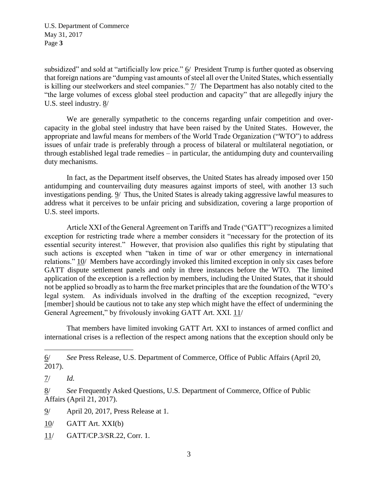subsidized" and sold at "artificially low price." 6/ President Trump is further quoted as observing that foreign nations are "dumping vast amounts of steel all over the United States, which essentially is killing our steelworkers and steel companies." 7/ The Department has also notably cited to the "the large volumes of excess global steel production and capacity" that are allegedly injury the U.S. steel industry. 8/

We are generally sympathetic to the concerns regarding unfair competition and overcapacity in the global steel industry that have been raised by the United States. However, the appropriate and lawful means for members of the World Trade Organization ("WTO") to address issues of unfair trade is preferably through a process of bilateral or multilateral negotiation, or through established legal trade remedies – in particular, the antidumping duty and countervailing duty mechanisms.

In fact, as the Department itself observes, the United States has already imposed over 150 antidumping and countervailing duty measures against imports of steel, with another 13 such investigations pending. 9/ Thus, the United States is already taking aggressive lawful measures to address what it perceives to be unfair pricing and subsidization, covering a large proportion of U.S. steel imports.

Article XXI of the General Agreement on Tariffs and Trade ("GATT") recognizes a limited exception for restricting trade where a member considers it "necessary for the protection of its essential security interest." However, that provision also qualifies this right by stipulating that such actions is excepted when "taken in time of war or other emergency in international relations." 10/ Members have accordingly invoked this limited exception in only six cases before GATT dispute settlement panels and only in three instances before the WTO. The limited application of the exception is a reflection by members, including the United States, that it should not be applied so broadly as to harm the free market principles that are the foundation of the WTO's legal system. As individuals involved in the drafting of the exception recognized, "every [member] should be cautious not to take any step which might have the effect of undermining the General Agreement," by frivolously invoking GATT Art. XXI. 11/

That members have limited invoking GATT Art. XXI to instances of armed conflict and international crises is a reflection of the respect among nations that the exception should only be

- 9/ April 20, 2017, Press Release at 1.
- $10$  GATT Art. XXI(b)
- 11/ GATT/CP.3/SR.22, Corr. 1.

<sup>6/</sup> *See* Press Release, U.S. Department of Commerce, Office of Public Affairs (April 20, 2017).

<sup>7/</sup> *Id.*

<sup>8/</sup> *See* Frequently Asked Questions, U.S. Department of Commerce, Office of Public Affairs (April 21, 2017).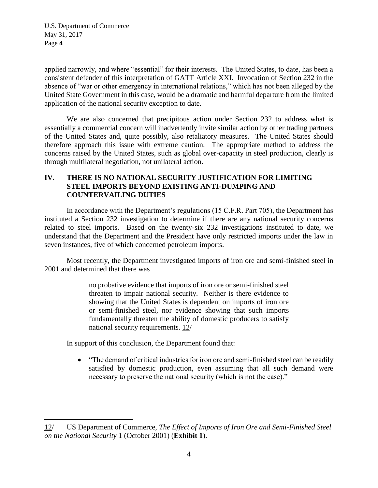$\overline{a}$ 

applied narrowly, and where "essential" for their interests. The United States, to date, has been a consistent defender of this interpretation of GATT Article XXI. Invocation of Section 232 in the absence of "war or other emergency in international relations," which has not been alleged by the United State Government in this case, would be a dramatic and harmful departure from the limited application of the national security exception to date.

We are also concerned that precipitous action under Section 232 to address what is essentially a commercial concern will inadvertently invite similar action by other trading partners of the United States and, quite possibly, also retaliatory measures. The United States should therefore approach this issue with extreme caution. The appropriate method to address the concerns raised by the United States, such as global over-capacity in steel production, clearly is through multilateral negotiation, not unilateral action.

## **IV. THERE IS NO NATIONAL SECURITY JUSTIFICATION FOR LIMITING STEEL IMPORTS BEYOND EXISTING ANTI-DUMPING AND COUNTERVAILING DUTIES**

In accordance with the Department's regulations (15 C.F.R. Part 705), the Department has instituted a Section 232 investigation to determine if there are any national security concerns related to steel imports. Based on the twenty-six 232 investigations instituted to date, we understand that the Department and the President have only restricted imports under the law in seven instances, five of which concerned petroleum imports.

Most recently, the Department investigated imports of iron ore and semi-finished steel in 2001 and determined that there was

> no probative evidence that imports of iron ore or semi-finished steel threaten to impair national security. Neither is there evidence to showing that the United States is dependent on imports of iron ore or semi-finished steel, nor evidence showing that such imports fundamentally threaten the ability of domestic producers to satisfy national security requirements. 12/

In support of this conclusion, the Department found that:

 "The demand of critical industries for iron ore and semi-finished steel can be readily satisfied by domestic production, even assuming that all such demand were necessary to preserve the national security (which is not the case)."

<sup>12/</sup> US Department of Commerce, *The Effect of Imports of Iron Ore and Semi-Finished Steel on the National Security* 1 (October 2001) (**Exhibit 1**).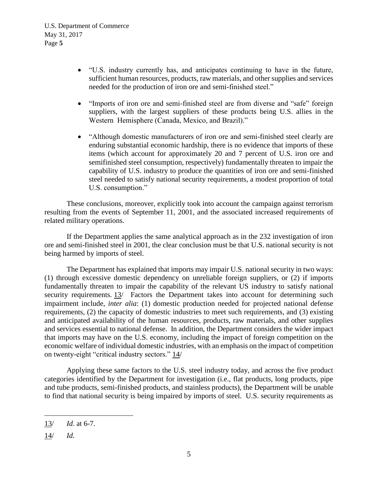- "U.S. industry currently has, and anticipates continuing to have in the future, sufficient human resources, products, raw materials, and other supplies and services needed for the production of iron ore and semi-finished steel."
- "Imports of iron ore and semi-finished steel are from diverse and "safe" foreign suppliers, with the largest suppliers of these products being U.S. allies in the Western Hemisphere (Canada, Mexico, and Brazil)."
- "Although domestic manufacturers of iron ore and semi-finished steel clearly are enduring substantial economic hardship, there is no evidence that imports of these items (which account for approximately 20 and 7 percent of U.S. iron ore and semifinished steel consumption, respectively) fundamentally threaten to impair the capability of U.S. industry to produce the quantities of iron ore and semi-finished steel needed to satisfy national security requirements, a modest proportion of total U.S. consumption."

These conclusions, moreover, explicitly took into account the campaign against terrorism resulting from the events of September 11, 2001, and the associated increased requirements of related military operations.

If the Department applies the same analytical approach as in the 232 investigation of iron ore and semi-finished steel in 2001, the clear conclusion must be that U.S. national security is not being harmed by imports of steel.

The Department has explained that imports may impair U.S. national security in two ways: (1) through excessive domestic dependency on unreliable foreign suppliers, or (2) if imports fundamentally threaten to impair the capability of the relevant US industry to satisfy national security requirements. 13/ Factors the Department takes into account for determining such impairment include, *inter alia*: (1) domestic production needed for projected national defense requirements, (2) the capacity of domestic industries to meet such requirements, and (3) existing and anticipated availability of the human resources, products, raw materials, and other supplies and services essential to national defense. In addition, the Department considers the wider impact that imports may have on the U.S. economy, including the impact of foreign competition on the economic welfare of individual domestic industries, with an emphasis on the impact of competition on twenty-eight "critical industry sectors." 14/

Applying these same factors to the U.S. steel industry today, and across the five product categories identified by the Department for investigation (i.e., flat products, long products, pipe and tube products, semi-finished products, and stainless products), the Department will be unable to find that national security is being impaired by imports of steel. U.S. security requirements as

<sup>13/</sup> *Id.* at 6-7.

<sup>14/</sup> *Id.*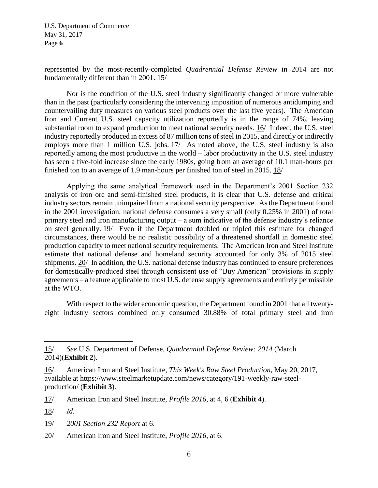represented by the most-recently-completed *Quadrennial Defense Review* in 2014 are not fundamentally different than in 2001. 15/

Nor is the condition of the U.S. steel industry significantly changed or more vulnerable than in the past (particularly considering the intervening imposition of numerous antidumping and countervailing duty measures on various steel products over the last five years). The American Iron and Current U.S. steel capacity utilization reportedly is in the range of 74%, leaving substantial room to expand production to meet national security needs. 16/ Indeed, the U.S. steel industry reportedly produced in excess of 87 million tons of steel in 2015, and directly or indirectly employs more than 1 million U.S. jobs. 17/ As noted above, the U.S. steel industry is also reportedly among the most productive in the world – labor productivity in the U.S. steel industry has seen a five-fold increase since the early 1980s, going from an average of 10.1 man-hours per finished ton to an average of 1.9 man-hours per finished ton of steel in 2015. 18/

Applying the same analytical framework used in the Department's 2001 Section 232 analysis of iron ore and semi-finished steel products, it is clear that U.S. defense and critical industry sectors remain unimpaired from a national security perspective. As the Department found in the 2001 investigation, national defense consumes a very small (only 0.25% in 2001) of total primary steel and iron manufacturing output – a sum indicative of the defense industry's reliance on steel generally. 19/ Even if the Department doubled or tripled this estimate for changed circumstances, there would be no realistic possibility of a threatened shortfall in domestic steel production capacity to meet national security requirements. The American Iron and Steel Institute estimate that national defense and homeland security accounted for only 3% of 2015 steel shipments. 20/ In addition, the U.S. national defense industry has continued to ensure preferences for domestically-produced steel through consistent use of "Buy American" provisions in supply agreements – a feature applicable to most U.S. defense supply agreements and entirely permissible at the WTO.

With respect to the wider economic question, the Department found in 2001 that all twentyeight industry sectors combined only consumed 30.88% of total primary steel and iron

<sup>15/</sup> *See* U.S. Department of Defense, *Quadrennial Defense Review: 2014* (March 2014)(**Exhibit 2**).

<sup>16/</sup> American Iron and Steel Institute, *This Week's Raw Steel Production*, May 20, 2017, available at https://www.steelmarketupdate.com/news/category/191-weekly-raw-steelproduction/ (**Exhibit 3**).

<sup>17/</sup> American Iron and Steel Institute, *Profile 2016*, at 4, 6 (**Exhibit 4**).

<sup>18/</sup> *Id*.

<sup>19/</sup> *2001 Section 232 Report* at 6.

<sup>20/</sup> American Iron and Steel Institute, *Profile 2016*, at 6.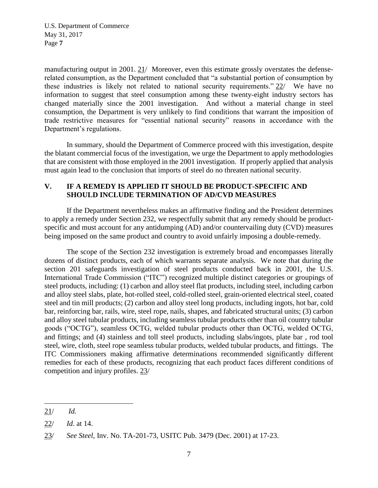manufacturing output in 2001. 21/ Moreover, even this estimate grossly overstates the defenserelated consumption, as the Department concluded that "a substantial portion of consumption by these industries is likely not related to national security requirements." 22/ We have no information to suggest that steel consumption among these twenty-eight industry sectors has changed materially since the 2001 investigation. And without a material change in steel consumption, the Department is very unlikely to find conditions that warrant the imposition of trade restrictive measures for "essential national security" reasons in accordance with the Department's regulations.

In summary, should the Department of Commerce proceed with this investigation, despite the blatant commercial focus of the investigation, we urge the Department to apply methodologies that are consistent with those employed in the 2001 investigation. If properly applied that analysis must again lead to the conclusion that imports of steel do no threaten national security.

## **V. IF A REMEDY IS APPLIED IT SHOULD BE PRODUCT-SPECIFIC AND SHOULD INCLUDE TERMINATION OF AD/CVD MEASURES**

If the Department nevertheless makes an affirmative finding and the President determines to apply a remedy under Section 232, we respectfully submit that any remedy should be productspecific and must account for any antidumping (AD) and/or countervailing duty (CVD) measures being imposed on the same product and country to avoid unfairly imposing a double-remedy.

The scope of the Section 232 investigation is extremely broad and encompasses literally dozens of distinct products, each of which warrants separate analysis. We note that during the section 201 safeguards investigation of steel products conducted back in 2001, the U.S. International Trade Commission ("ITC") recognized multiple distinct categories or groupings of steel products, including: (1) carbon and alloy steel flat products, including steel, including carbon and alloy steel slabs, plate, hot-rolled steel, cold-rolled steel, grain-oriented electrical steel, coated steel and tin mill products; (2) carbon and alloy steel long products, including ingots, hot bar, cold bar, reinforcing bar, rails, wire, steel rope, nails, shapes, and fabricated structural units; (3) carbon and alloy steel tubular products, including seamless tubular products other than oil country tubular goods ("OCTG"), seamless OCTG, welded tubular products other than OCTG, welded OCTG, and fittings; and (4) stainless and toll steel products, including slabs/ingots, plate bar , rod tool steel, wire, cloth, steel rope seamless tubular products, welded tubular products, and fittings. The ITC Commissioners making affirmative determinations recommended significantly different remedies for each of these products, recognizing that each product faces different conditions of competition and injury profiles. 23/

<sup>21/</sup> *Id.*

<sup>22/</sup> *Id.* at 14.

<sup>23/</sup> *See Steel*, Inv. No. TA-201-73, USITC Pub. 3479 (Dec. 2001) at 17-23.